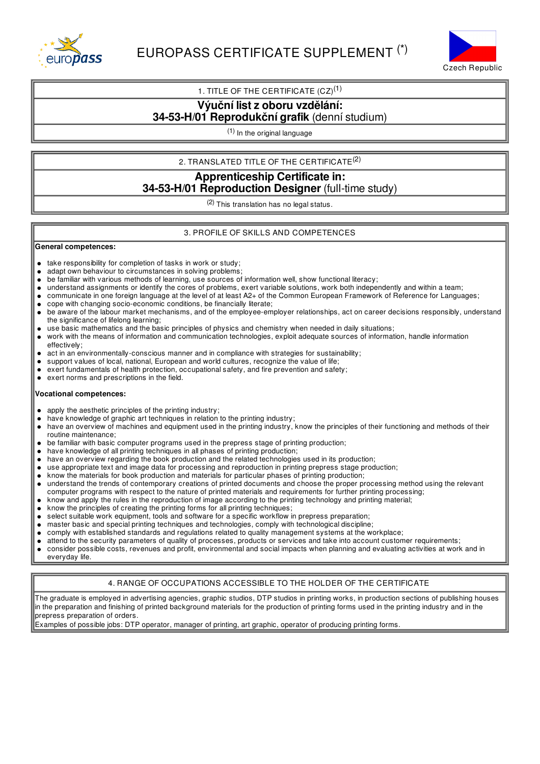



## 1. TITLE OF THE CERTIFICATE  $(CZ)^{(1)}$

**Výuční listz oboru vzdělání:**

# **34-53-H/01 Reprodukční grafik** (denní studium)

(1) In the original language

2. TRANSLATED TITLE OF THE CERTIFICATE $^{(2)}$ 

## **Apprenticeship Certificate in: 34-53-H/01 Reproduction Designer** (full-time study)

(2) This translation has no legal status.

## 3. PROFILE OF SKILLS AND COMPETENCES

### **General competences:**

- take responsibility for completion of tasks in work or study;  $\bullet$
- $\bullet$ adapt own behaviour to circumstances in solving problems;
- be familiar with various methods of learning, use sources of information well, show functional literacy;  $\bullet$
- understand assignments or identify the cores of problems, exert variable solutions, work both independently and within a team;
- communicate in one foreign language at the level of at least A2+ of the Common European Framework of Reference for Languages;  $\bullet$
- cope with changing socio-economic conditions, be financially literate;  $\bullet$
- be aware of the labour market mechanisms, and of the employee-employer relationships, act on career decisions responsibly, understand  $\bullet$ the significance of lifelong learning;
- use basic mathematics and the basic principles of physics and chemistry when needed in daily situations;
- work with the means of information and communication technologies, exploit adequate sources of information, handle information effectively;
- act in an environmentally-conscious manner and in compliance with strategies for sustainability;
- support values of local, national, European and world cultures, recognize the value of life;
- exert fundamentals of health protection, occupational safety, and fire prevention and safety;
- exert norms and prescriptions in the field.  $\bullet$

### **Vocational competences:**

- apply the aesthetic principles of the printing industry;
- have knowledge of graphic art techniques in relation to the printing industry;
- have an overview of machines and equipment used in the printing industry, know the principles of their functioning and methods of their  $\bullet$ routine maintenance;
- be familiar with basic computer programs used in the prepress stage of printing production;
- have knowledge of all printing techniques in all phases of printing production;
- have an overview regarding the book production and the related technologies used in its production;  $\bullet$
- use appropriate text and image data for processing and reproduction in printing prepress stage production;  $\bullet$
- know the materials for book production and materials for particular phases of printing production;
- understand the trends of contemporary creations of printed documents and choose the proper processing method using the relevant
- computer programs with respect to the nature of printed materials and requirements for further printing processing;
- know and apply the rules in the reproduction of image according to the printing technology and printing material;
- $\bullet$ know the principles of creating the printing forms for all printing techniques;
- select suitable work equipment, tools and software for a specific workflow in prepress preparation;
- master basic and special printing techniques and technologies, comply with technological discipline;
- comply with established standards and regulations related to quality management systems at the workplace;  $\bullet$
- attend to the security parameters of quality of processes, products or services and take into account customer requirements;
- consider possible costs, revenues and profit, environmental and social impacts when planning and evaluating activities at work and in everyday life.

## 4. RANGE OF OCCUPATIONS ACCESSIBLE TO THE HOLDER OF THE CERTIFICATE

The graduate is employed in advertising agencies, graphic studios, DTP studios in printing works, in production sections of publishing houses in the preparation and finishing of printed background materials for the production of printing forms used in the printing industry and in the prepress preparation of orders.

Examples of possible jobs: DTP operator, manager of printing, art graphic, operator of producing printing forms.